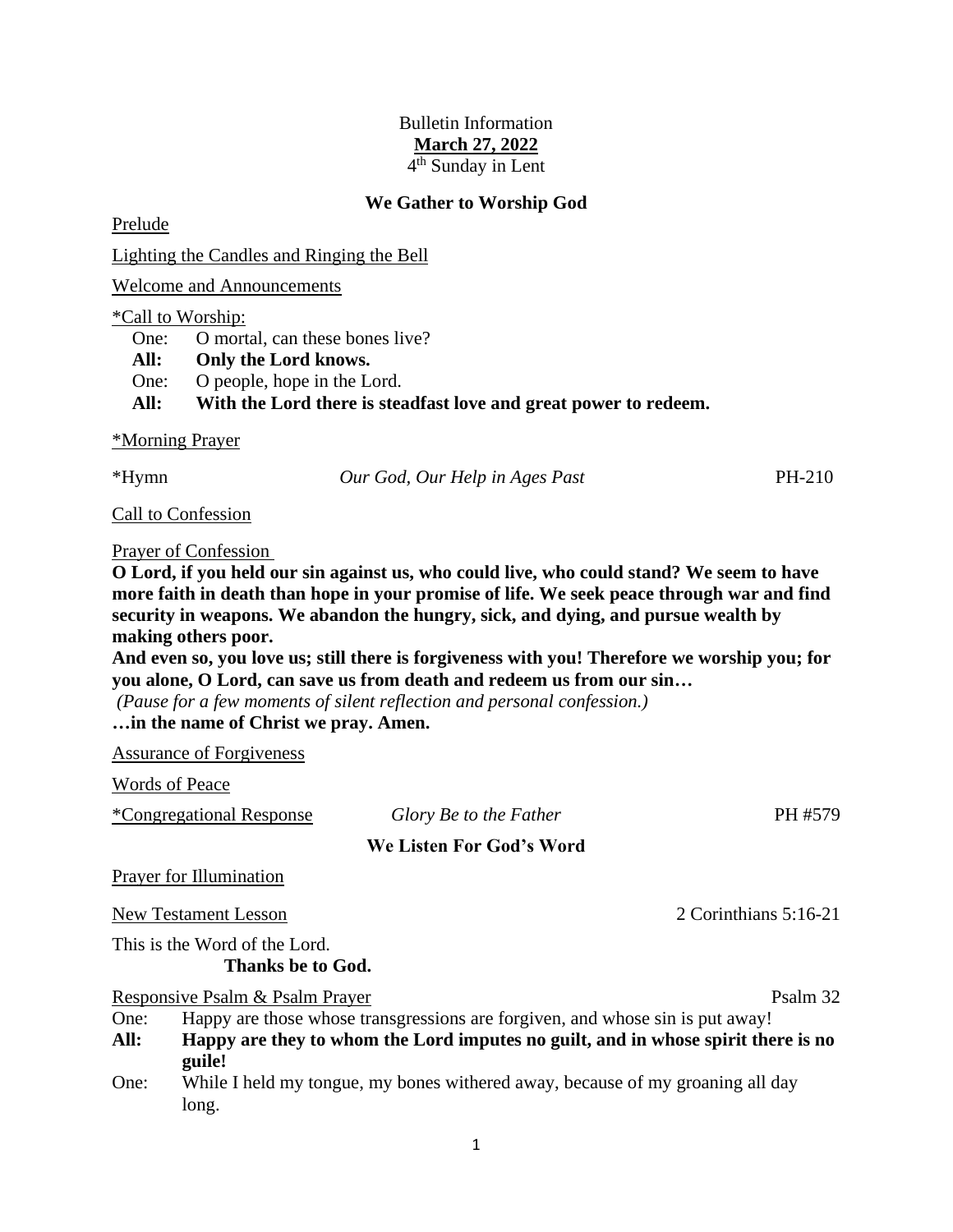# Bulletin Information **March 27, 2022** 4<sup>th</sup> Sunday in Lent

### **We Gather to Worship God**

Prelude

Lighting the Candles and Ringing the Bell

Welcome and Announcements

#### \*Call to Worship:

One: O mortal, can these bones live?

**All: Only the Lord knows.**

One: O people, hope in the Lord.

**All: With the Lord there is steadfast love and great power to redeem.**

### \*Morning Prayer

\*Hymn *Our God, Our Help in Ages Past* PH-210

Call to Confession

### Prayer of Confession

**O Lord, if you held our sin against us, who could live, who could stand? We seem to have more faith in death than hope in your promise of life. We seek peace through war and find security in weapons. We abandon the hungry, sick, and dying, and pursue wealth by making others poor.**

**And even so, you love us; still there is forgiveness with you! Therefore we worship you; for you alone, O Lord, can save us from death and redeem us from our sin…**

*(Pause for a few moments of silent reflection and personal confession.)*

### **…in the name of Christ we pray. Amen.**

Assurance of Forgiveness

Words of Peace

|  | *Congregational Response |
|--|--------------------------|
|  |                          |

## **We Listen For God's Word**

 $Glory$  *Be to the Father* PH #579

Prayer for Illumination

New Testament Lesson 2 Corinthians 5:16-21

This is the Word of the Lord.

**Thanks be to God.**

Responsive Psalm & Psalm Prayer Psalm 32

- One: Happy are those whose transgressions are forgiven, and whose sin is put away!
- **All: Happy are they to whom the Lord imputes no guilt, and in whose spirit there is no guile!**
- One: While I held my tongue, my bones withered away, because of my groaning all day long.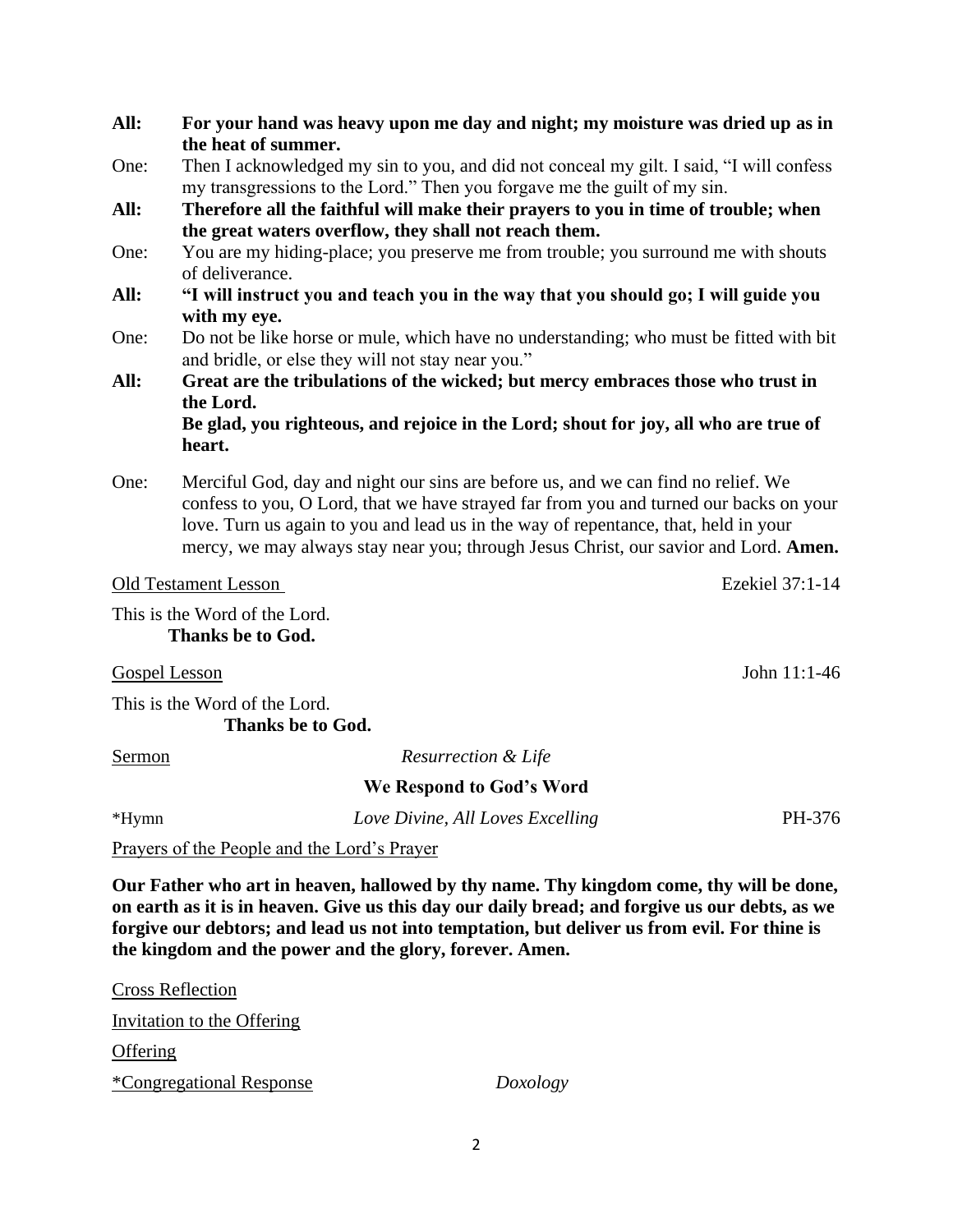- **All: For your hand was heavy upon me day and night; my moisture was dried up as in the heat of summer.**
- One: Then I acknowledged my sin to you, and did not conceal my gilt. I said, "I will confess my transgressions to the Lord." Then you forgave me the guilt of my sin.
- **All: Therefore all the faithful will make their prayers to you in time of trouble; when the great waters overflow, they shall not reach them.**
- One: You are my hiding-place; you preserve me from trouble; you surround me with shouts of deliverance.
- **All: "I will instruct you and teach you in the way that you should go; I will guide you with my eye.**
- One: Do not be like horse or mule, which have no understanding; who must be fitted with bit and bridle, or else they will not stay near you."
- **All: Great are the tribulations of the wicked; but mercy embraces those who trust in the Lord.**

**Be glad, you righteous, and rejoice in the Lord; shout for joy, all who are true of heart.** 

One: Merciful God, day and night our sins are before us, and we can find no relief. We confess to you, O Lord, that we have strayed far from you and turned our backs on your love. Turn us again to you and lead us in the way of repentance, that, held in your mercy, we may always stay near you; through Jesus Christ, our savior and Lord. **Amen.**

## Old Testament Lesson Ezekiel 37:1-14

This is the Word of the Lord. **Thanks be to God.**

Gospel Lesson John 11:1-46

This is the Word of the Lord. **Thanks be to God.**

Sermon *Resurrection & Life*

**We Respond to God's Word**

\*Hymn *Love Divine, All Loves Excelling* PH-376

Prayers of the People and the Lord's Prayer

**Our Father who art in heaven, hallowed by thy name. Thy kingdom come, thy will be done, on earth as it is in heaven. Give us this day our daily bread; and forgive us our debts, as we forgive our debtors; and lead us not into temptation, but deliver us from evil. For thine is the kingdom and the power and the glory, forever. Amen.**

Cross Reflection Invitation to the Offering **Offering** \*Congregational Response *Doxology*

2